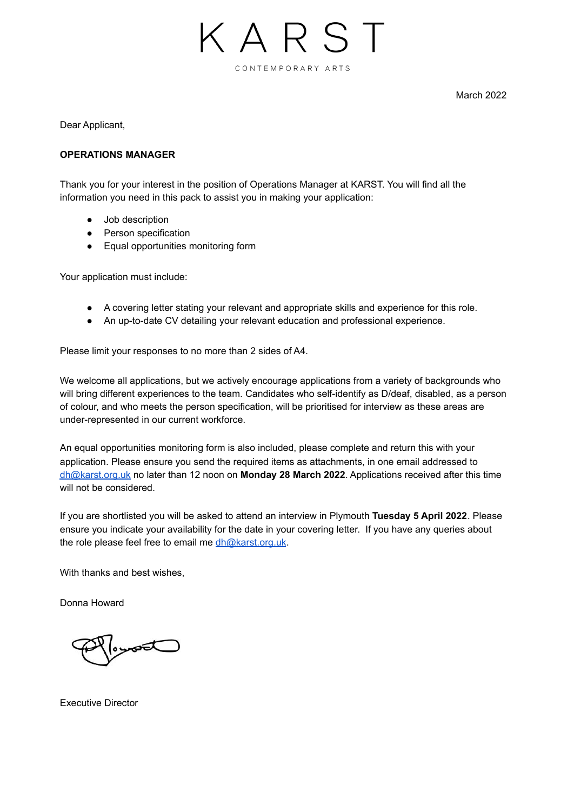

March 2022

Dear Applicant,

## **OPERATIONS MANAGER**

Thank you for your interest in the position of Operations Manager at KARST. You will find all the information you need in this pack to assist you in making your application:

- Job description
- Person specification
- Equal opportunities monitoring form

Your application must include:

- A covering letter stating your relevant and appropriate skills and experience for this role.
- An up-to-date CV detailing your relevant education and professional experience.

Please limit your responses to no more than 2 sides of A4.

We welcome all applications, but we actively encourage applications from a variety of backgrounds who will bring different experiences to the team. Candidates who self-identify as D/deaf, disabled, as a person of colour, and who meets the person specification, will be prioritised for interview as these areas are under-represented in our current workforce.

An equal opportunities monitoring form is also included, please complete and return this with your application. Please ensure you send the required items as attachments, in one email addressed to [dh@karst.org.uk](mailto:dh@karst.org.uk) no later than 12 noon on **Monday 28 March 2022**. Applications received after this time will not be considered.

If you are shortlisted you will be asked to attend an interview in Plymouth **Tuesday 5 April 2022**. Please ensure you indicate your availability for the date in your covering letter. If you have any queries about the role please feel free to email me [dh@karst.org.uk](mailto:dh@karst.org.uk).

With thanks and best wishes,

Donna Howard

 $\overline{\phantom{a}}$ 

Executive Director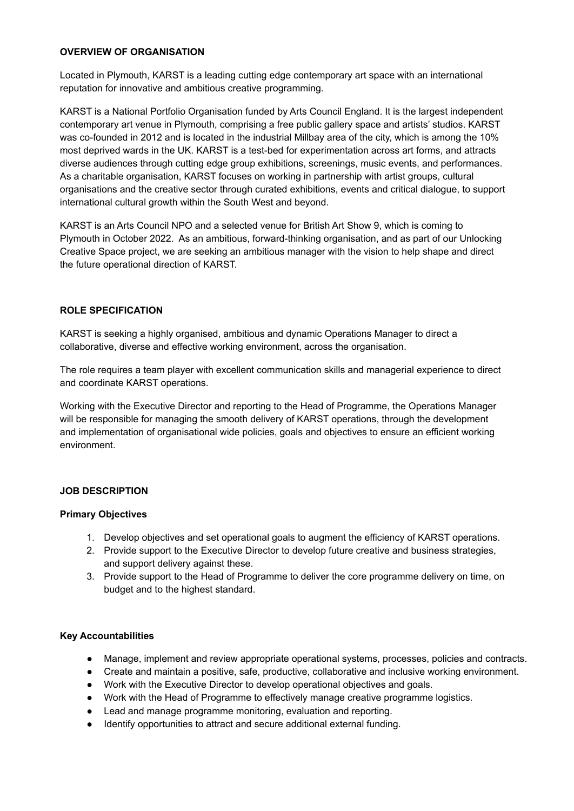## **OVERVIEW OF ORGANISATION**

Located in Plymouth, KARST is a leading cutting edge contemporary art space with an international reputation for innovative and ambitious creative programming.

KARST is a National Portfolio Organisation funded by Arts Council England. It is the largest independent contemporary art venue in Plymouth, comprising a free public gallery space and artists' studios. KARST was co-founded in 2012 and is located in the industrial Millbay area of the city, which is among the 10% most deprived wards in the UK. KARST is a test-bed for experimentation across art forms, and attracts diverse audiences through cutting edge group exhibitions, screenings, music events, and performances. As a charitable organisation, KARST focuses on working in partnership with artist groups, cultural organisations and the creative sector through curated exhibitions, events and critical dialogue, to support international cultural growth within the South West and beyond.

KARST is an Arts Council NPO and a selected venue for British Art Show 9, which is coming to Plymouth in October 2022. As an ambitious, forward-thinking organisation, and as part of our Unlocking Creative Space project, we are seeking an ambitious manager with the vision to help shape and direct the future operational direction of KARST.

# **ROLE SPECIFICATION**

KARST is seeking a highly organised, ambitious and dynamic Operations Manager to direct a collaborative, diverse and effective working environment, across the organisation.

The role requires a team player with excellent communication skills and managerial experience to direct and coordinate KARST operations.

Working with the Executive Director and reporting to the Head of Programme, the Operations Manager will be responsible for managing the smooth delivery of KARST operations, through the development and implementation of organisational wide policies, goals and objectives to ensure an efficient working environment.

# **JOB DESCRIPTION**

## **Primary Objectives**

- 1. Develop objectives and set operational goals to augment the efficiency of KARST operations.
- 2. Provide support to the Executive Director to develop future creative and business strategies, and support delivery against these.
- 3. Provide support to the Head of Programme to deliver the core programme delivery on time, on budget and to the highest standard.

# **Key Accountabilities**

- Manage, implement and review appropriate operational systems, processes, policies and contracts.
- Create and maintain a positive, safe, productive, collaborative and inclusive working environment.
- Work with the Executive Director to develop operational objectives and goals.
- Work with the Head of Programme to effectively manage creative programme logistics.
- Lead and manage programme monitoring, evaluation and reporting.
- Identify opportunities to attract and secure additional external funding.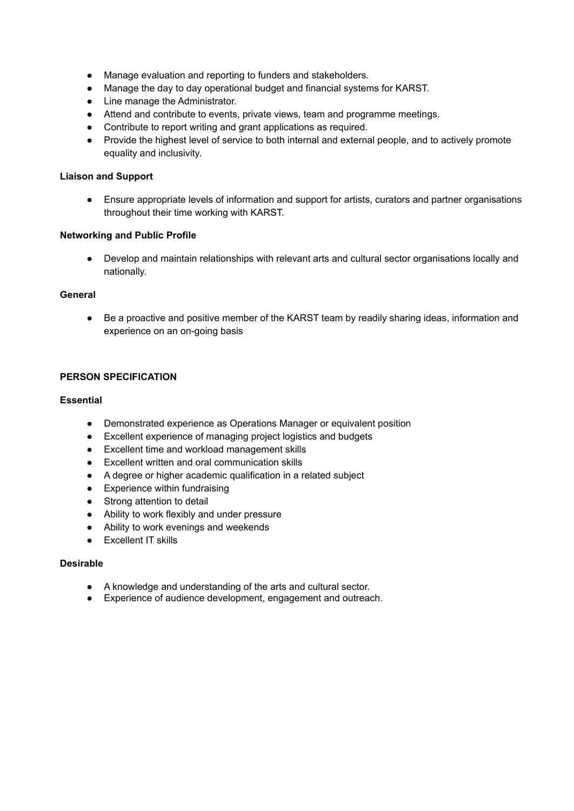- Manage evaluation and reporting to funders and stakeholders.
- Manage the day to day operational budget and financial systems for KARST.
- Line manage the Administrator.
- Attend and contribute to events, private views, team and programme meetings.
- Contribute to report writing and grant applications as required.
- Provide the highest level of service to both internal and external people, and to actively promote equality and inclusivity.

### **Liaison and Support**

● Ensure appropriate levels of information and support for artists, curators and partner organisations throughout their time working with KARST.

#### **Networking and Public Profile**

● Develop and maintain relationships with relevant arts and cultural sector organisations locally and nationally.

#### **General**

• Be a proactive and positive member of the KARST team by readily sharing ideas, information and experience on an on-going basis

## **PERSON SPECIFICATION**

#### **Essential**

- Demonstrated experience as Operations Manager or equivalent position
- Excellent experience of managing project logistics and budgets
- Excellent time and workload management skills
- Excellent written and oral communication skills
- A degree or higher academic qualification in a related subject
- Experience within fundraising
- Strong attention to detail
- Ability to work flexibly and under pressure
- Ability to work evenings and weekends
- Excellent IT skills

# **Desirable**

- A knowledge and understanding of the arts and cultural sector.
- Experience of audience development, engagement and outreach.